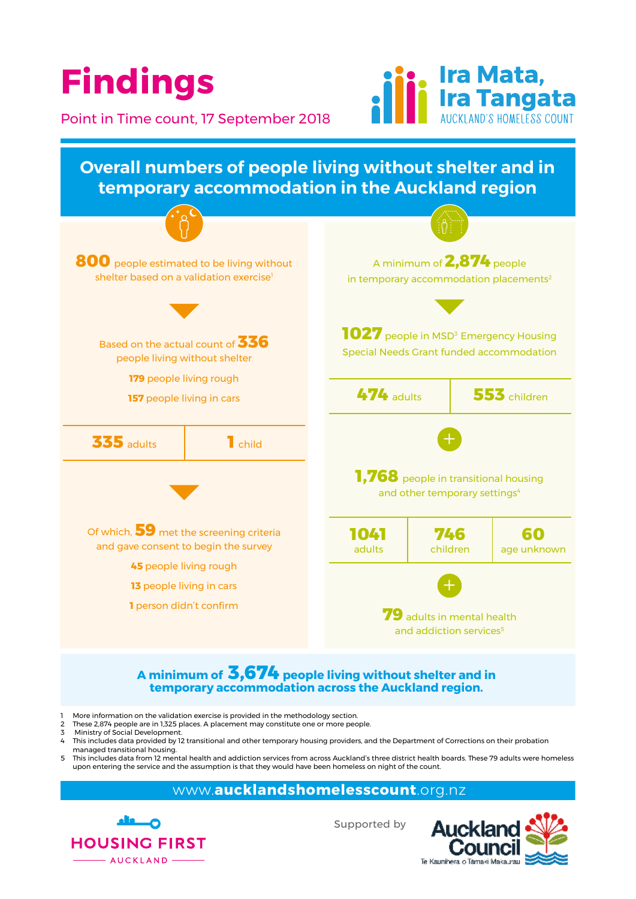

#### inimum of  $\bf 3{,}674$  people living with temporary accommodation across the Auckland region. **1041** r sner **746** Age **60 A minimum of 3,674 people living without shelter and in**

- More information on the validation exercise is provided in the methodology section.
- These mometation of the validation exercise is provided in the methodology section.<br>2 These 2,874 people are in 1,325 places. A placement may constitute one or more people. 2 These 2,874 people are in 1,325 p<br>3 Ministry of Social Development.
- 3 Ministry of Social Development.
- 4 This includes data provided by 12 transitional and other temporary housing providers, and the Department of Corrections on their probation managed transitional housing.
- mis includes data from 12 mental health and addiction services from across Auckland's three district health boards. These 79 adults were homeless upon entering the service and the assumption is that they would have been homeless on night of the count.

#### www.**aucklandshomelesscount**.org.nz



Supported by

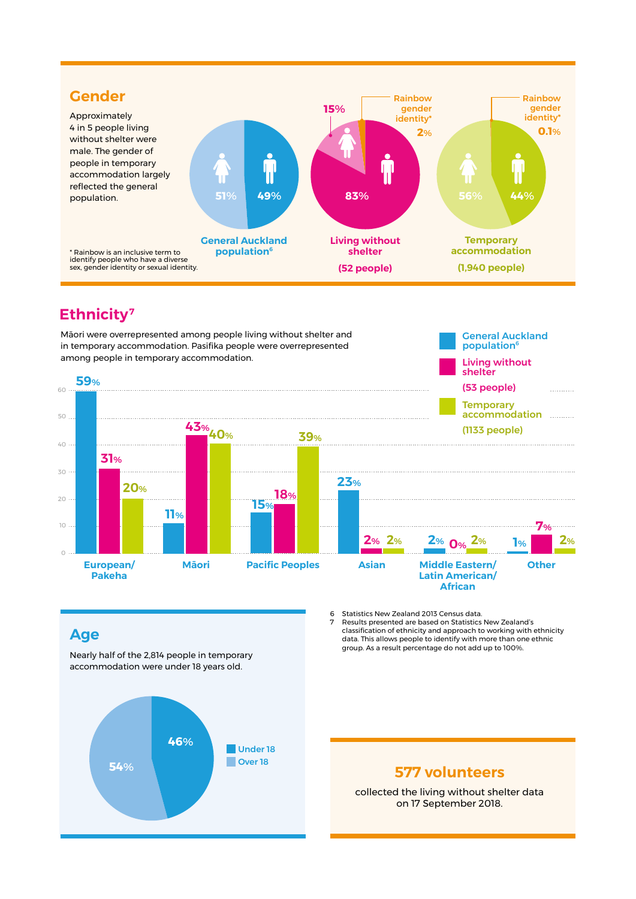

### **Ethnicity7**

Māori were overrepresented among people living without shelter and in temporary accommodation. Pasifika people were overrepresented among people in temporary accommodation.



#### **Age**

Nearly half of the 2,814 people in temporary accommodation were under 18 years old.



6 Statistics New Zealand 2013 Census data. 7 Results presented are based on Statistics New Zealand's classification of ethnicity and approach to working with ethnicity data. This allows people to identify with more than one ethnic group. As a result percentage do not add up to 100%.

General Auckland population<sup>6</sup>

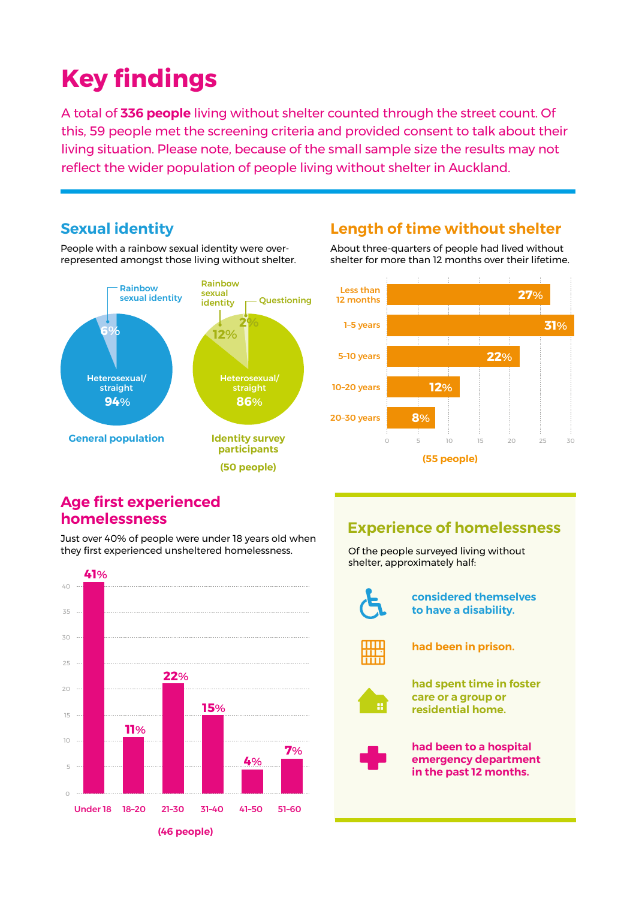## **Key findings**

A total of 336 people living without shelter counted through the street count. Of this, 59 people met the screening criteria and provided consent to talk about their living situation. Please note, because of the small sample size the results may not reflect the wider population of people living without shelter in Auckland.

*Survey responses depended on those willing to take part and answer each question. Therefore, the results may* 

#### **Sexual identity**

People with a rainbow sexual identity were overrepresented amongst those living without shelter.



#### **Length of time without shelter**

About three-quarters of people had lived without shelter for more than 12 months over their lifetime.



#### **Age first experienced homelessness**

Just over 40% of people were under 18 years old when they first experienced unsheltered homelessness.



#### **Experience of homelessness**

Of the people surveyed living without shelter, approximately half:



#### **considered themselves to have a disability.**



**had been in prison.**



**had spent time in foster care or a group or residential home.**



**had been to a hospital emergency department in the past 12 months.**